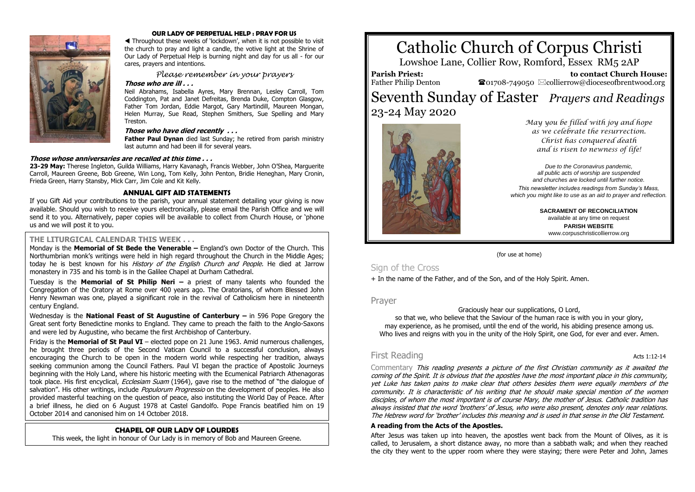

#### **OUR LADY OF PERPETUAL HELP : PRAY FOR US**

 Throughout these weeks of 'lockdown', when it is not possible to visit the church to pray and light a candle, the votive light at the Shrine of Our Lady of Perpetual Help is burning night and day for us all - for our cares, prayers and intentions.

*Please remember in your prayers*

#### **Those who are ill . . .**

Neil Abrahams, Isabella Ayres, Mary Brennan, Lesley Carroll, Tom Coddington, Pat and Janet Defreitas, Brenda Duke, Compton Glasgow, Father Tom Jordan, Eddie Margot, Gary Martindill, Maureen Mongan, Helen Murray, Sue Read, Stephen Smithers, Sue Spelling and Mary Treston.

#### **Those who have died recently . . .**

**Father Paul Dynan** died last Sunday; he retired from parish ministry last autumn and had been ill for several years.

#### **Those whose anniversaries are recalled at this time . . .**

**23-29 May:** Therese Ingleton, Guilda Williams, Harry Kavanagh, Francis Webber, John O'Shea, Marguerite Carroll, Maureen Greene, Bob Greene, Win Long, Tom Kelly, John Penton, Bridie Heneghan, Mary Cronin, Frieda Green, Harry Stansby, Mick Carr, Jim Cole and Kit Kelly.

#### **ANNUAL GIFT AID STATEMENTS**

If you Gift Aid your contributions to the parish, your annual statement detailing your giving is now available. Should you wish to receive yours electronically, please email the Parish Office and we will send it to you. Alternatively, paper copies will be available to collect from Church House, or 'phone us and we will post it to you.

#### **THE LITURGICAL CALENDAR THIS WEEK . . .**

Monday is the **Memorial of St Bede the Venerable –** England's own Doctor of the Church. This Northumbrian monk's writings were held in high regard throughout the Church in the Middle Ages; today he is best known for his *History of the English Church and People*. He died at Jarrow monastery in 735 and his tomb is in the Galilee Chapel at Durham Cathedral.

Tuesday is the **Memorial of St Philip Neri –** a priest of many talents who founded the Congregation of the Oratory at Rome over 400 years ago. The Oratorians, of whom Blessed John Henry Newman was one, played a significant role in the revival of Catholicism here in nineteenth century England.

Wednesday is the **National Feast of St Augustine of Canterbury –** in 596 Pope Gregory the Great sent forty Benedictine monks to England. They came to preach the faith to the Anglo-Saxons and were led by Augustine, who became the first Archbishop of Canterbury.

Friday is the **Memorial of St Paul VI** – elected pope on 21 June 1963. Amid numerous challenges, he brought three periods of the Second Vatican Council to a successful conclusion, always encouraging the Church to be open in the modern world while respecting her tradition, always seeking communion among the Council Fathers. Paul VI began the practice of Apostolic Journeys beginning with the Holy Land, where his historic meeting with the Ecumenical Patriarch Athenagoras took place. His first encyclical, *[Ecclesiam Suam](http://w2.vatican.va/content/paul-vi/en/encyclicals/documents/hf_p-vi_enc_06081964_ecclesiam.html)* (1964), gave rise to the method of "the dialogue of salvation". His other writings, include *[Populorum Progressio](http://w2.vatican.va/content/paul-vi/en/encyclicals/documents/hf_p-vi_enc_26031967_populorum.html)* on the development of peoples. He also provided masterful teaching on the question of peace, also instituting the World Day of Peace. After a brief illness, [he died on 6 August 1978](http://w2.vatican.va/content/paul-vi/en/speeches/1978/august.index.html) at Castel Gandolfo. Pope Francis [beatified him on 19](http://w2.vatican.va/content/francesco/en/homilies/2014/documents/papa-francesco_20141019_omelia-chiusura-sinodo-beatificazione-paolo-vi.html)  [October 2014](http://w2.vatican.va/content/francesco/en/homilies/2014/documents/papa-francesco_20141019_omelia-chiusura-sinodo-beatificazione-paolo-vi.html) and [canonised him on 14 October 2018.](http://w2.vatican.va/content/francesco/en/homilies/2018/documents/papa-francesco_20181014_omelia-canonizzazione.html)

#### **CHAPEL OF OUR LADY OF LOURDES**

This week, the light in honour of Our Lady is in memory of Bob and Maureen Greene.

# Catholic Church of Corpus Christi

Lowshoe Lane, Collier Row, Romford, Essex RM5 2AP

**Parish Priest:** Father Philip Denton

 **to contact Church House:**  $\bullet$ 01708-749050  $\boxtimes$ collierrow@dioceseofbrentwood.org

# Seventh Sunday of Easter *Prayers and Readings* 23-24 May 2020



*May you be filled with joy and hope as we celebrate the resurrection. Christ has conquered death and is risen to newness of life!*

*Due to the Coronavirus pandemic, all public acts of worship are suspended and churches are locked until further notice.*

*This newsletter includes readings from Sunday's Mass, which you might like to use as an aid to prayer and reflection.*

> **SACRAMENT OF RECONCILIATION** available at any time on request **PARISH WEBSITE** www.corpuschristicollierrow.org

(for use at home)

## Sign of the Cross

+ In the name of the Father, and of the Son, and of the Holy Spirit. Amen.

Prayer

Graciously hear our supplications, O Lord,

so that we, who believe that the Saviour of the human race is with you in your glory, may experience, as he promised, until the end of the world, his abiding presence among us. Who lives and reigns with you in the unity of the Holy Spirit, one God, for ever and ever. Amen.

# First Reading **Acts 1:12-14 Acts 1:12-14**

Commentary This reading presents a picture of the first Christian community as it awaited the coming of the Spirit. It is obvious that the apostles have the most important place in this community, yet Luke has taken pains to make clear that others besides them were equally members of the community. It is characteristic of his writing that he should make special mention of the women disciples, of whom the most important is of course Mary, the mother of Jesus. Catholic tradition has always insisted that the word 'brothers' of Jesus, who were also present, denotes only near relations. The Hebrew word for 'brother' includes this meaning and is used in that sense in the Old Testament.

#### **A reading from the Acts of the Apostles.**

After Jesus was taken up into heaven, the apostles went back from the Mount of Olives, as it is called, to Jerusalem, a short distance away, no more than a sabbath walk; and when they reached the city they went to the upper room where they were staying; there were Peter and John, James